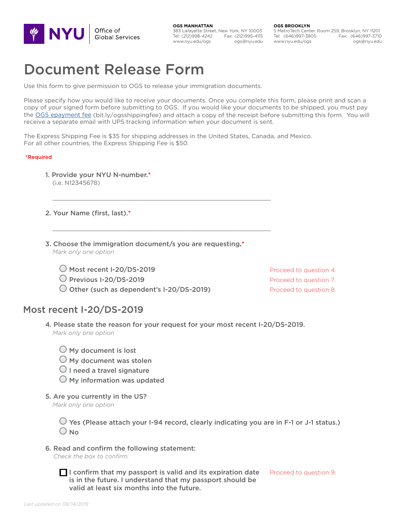

**OGS MANHATTAN** 383 Lafayette Street, New York, NY 10003 Tel: (212)998-4242 Fax: (212)995-4115 www.nyu.edu/ogs ogs@nyu.edu

**OGS BROOKLYN**

5 MetroTech Center, Room 259, Brooklyn, NY 11201 Tel: (646)997-3805 Fax: (646)997-3710 www.nyu.edu/ogs ogs@nyu.edu

# Document Release Form

Use this form to give permission to OGS to release your immigration documents.

Please specify how you would like to receive your documents. Once you complete this form, please print and scan a copy of your signed form before submitting to OGS. If you would like your documents to be shipped, you must pay the [OGS epayment fee](https://secure.touchnet.com/C21125_ustores/web/product_detail.jsp?PRODUCTID=350) (bit.ly/ogsshippingfee) and attach a copy of the receipt before submitting this form. You will receive a separate email with UPS tracking information when your document is sent.

The Express Shipping Fee is \$35 for shipping addresses in the United States, Canada, and Mexico. For all other countries, the Express Shipping Fee is \$50.

 $\Box$  , and the state of the state of the state of the state of the state of the state of the state of the state of the state of the state of the state of the state of the state of the state of the state of the state of th

 $\Box$  , and the state of the state of the state of the state of the state of the state of the state of the state of the state of the state of the state of the state of the state of the state of the state of the state of th

#### \*Required

- 1. Provide your NYU N-number.\* (i.e. N12345678)
- 2. Your Name (first, last).\*
- 3. Choose the immigration document/s you are requesting.\* *Mark only one option*
	- Most recent I-20/DS-2019
	- Previous I-20/DS-2019
	- O Other (such as dependent's I-20/DS-2019)

## Most recent I-20/DS-2019

- 4. Please state the reason for your request for your most recent I-20/DS-2019. *Mark only one option*
	- $\bigcirc$  My document is lost
	- $\bigcirc$  My document was stolen
	- $\bigcirc$  I need a travel signature
	- $\bigcirc$  My information was updated
- 5. Are you currently in the US?

*Mark only one option*

 $\bigcirc$  Yes (Please attach your I-94 record, clearly indicating you are in F-1 or J-1 status.)  $\bigcirc$  No

6. Read and confirm the following statement:

*Check the box to confirm.*

 $\blacksquare$  I confirm that my passport is valid and its expiration date is in the future. I understand that my passport should be valid at least six months into the future.

Proceed to question 9.

Proceed to question 4. Proceed to question 7. Proceed to question 8.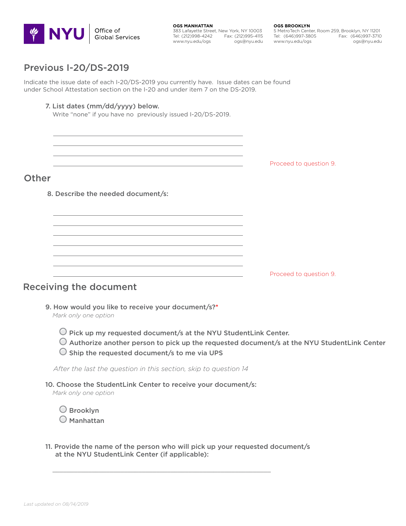

**OGS MANHATTAN** 383 Lafayette Street, New York, NY 10003 Tel: (212)998-4242 Fax: (212)995-4115 www.nyu.edu/ogs ogs@nyu.edu **OGS BROOKLYN**

5 MetroTech Center, Room 259, Brooklyn, NY 11201 Tel: (646)997-3805 Fax: (646)997-3710 www.nyu.edu/ogs ogs@nyu.edu

## Previous I-20/DS-2019

Indicate the issue date of each I-20/DS-2019 you currently have. Issue dates can be found under School Attestation section on the I-20 and under item 7 on the DS-2019.

 $\overline{\phantom{a}}$  ,  $\overline{\phantom{a}}$  ,  $\overline{\phantom{a}}$  ,  $\overline{\phantom{a}}$  ,  $\overline{\phantom{a}}$  ,  $\overline{\phantom{a}}$  ,  $\overline{\phantom{a}}$  ,  $\overline{\phantom{a}}$  ,  $\overline{\phantom{a}}$  ,  $\overline{\phantom{a}}$  ,  $\overline{\phantom{a}}$  ,  $\overline{\phantom{a}}$  ,  $\overline{\phantom{a}}$  ,  $\overline{\phantom{a}}$  ,  $\overline{\phantom{a}}$  ,  $\overline{\phantom{a}}$  $\overline{\phantom{a}}$  ,  $\overline{\phantom{a}}$  ,  $\overline{\phantom{a}}$  ,  $\overline{\phantom{a}}$  ,  $\overline{\phantom{a}}$  ,  $\overline{\phantom{a}}$  ,  $\overline{\phantom{a}}$  ,  $\overline{\phantom{a}}$  ,  $\overline{\phantom{a}}$  ,  $\overline{\phantom{a}}$  ,  $\overline{\phantom{a}}$  ,  $\overline{\phantom{a}}$  ,  $\overline{\phantom{a}}$  ,  $\overline{\phantom{a}}$  ,  $\overline{\phantom{a}}$  ,  $\overline{\phantom{a}}$  $\frac{1}{2}$  ,  $\frac{1}{2}$  ,  $\frac{1}{2}$  ,  $\frac{1}{2}$  ,  $\frac{1}{2}$  ,  $\frac{1}{2}$  ,  $\frac{1}{2}$  ,  $\frac{1}{2}$  ,  $\frac{1}{2}$  ,  $\frac{1}{2}$  ,  $\frac{1}{2}$  ,  $\frac{1}{2}$  ,  $\frac{1}{2}$  ,  $\frac{1}{2}$  ,  $\frac{1}{2}$  ,  $\frac{1}{2}$  ,  $\frac{1}{2}$  ,  $\frac{1}{2}$  ,  $\frac{1$  $\mathcal{L}_\text{max}$  and the contract of the contract of the contract of the contract of the contract of the contract of

 $\overline{\phantom{a}}$  ,  $\overline{\phantom{a}}$  ,  $\overline{\phantom{a}}$  ,  $\overline{\phantom{a}}$  ,  $\overline{\phantom{a}}$  ,  $\overline{\phantom{a}}$  ,  $\overline{\phantom{a}}$  ,  $\overline{\phantom{a}}$  ,  $\overline{\phantom{a}}$  ,  $\overline{\phantom{a}}$  ,  $\overline{\phantom{a}}$  ,  $\overline{\phantom{a}}$  ,  $\overline{\phantom{a}}$  ,  $\overline{\phantom{a}}$  ,  $\overline{\phantom{a}}$  ,  $\overline{\phantom{a}}$  $\overline{\phantom{a}}$  ,  $\overline{\phantom{a}}$  ,  $\overline{\phantom{a}}$  ,  $\overline{\phantom{a}}$  ,  $\overline{\phantom{a}}$  ,  $\overline{\phantom{a}}$  ,  $\overline{\phantom{a}}$  ,  $\overline{\phantom{a}}$  ,  $\overline{\phantom{a}}$  ,  $\overline{\phantom{a}}$  ,  $\overline{\phantom{a}}$  ,  $\overline{\phantom{a}}$  ,  $\overline{\phantom{a}}$  ,  $\overline{\phantom{a}}$  ,  $\overline{\phantom{a}}$  ,  $\overline{\phantom{a}}$  $\overline{\phantom{a}}$  , and the contribution of the contribution of the contribution of the contribution of the contribution of the contribution of the contribution of the contribution of the contribution of the contribution of the  $\mathcal{L}_\text{max}$  and the contract of the contract of the contract of the contract of the contract of the contract of

 $\overline{\phantom{a}}$  ,  $\overline{\phantom{a}}$  ,  $\overline{\phantom{a}}$  ,  $\overline{\phantom{a}}$  ,  $\overline{\phantom{a}}$  ,  $\overline{\phantom{a}}$  ,  $\overline{\phantom{a}}$  ,  $\overline{\phantom{a}}$  ,  $\overline{\phantom{a}}$  ,  $\overline{\phantom{a}}$  ,  $\overline{\phantom{a}}$  ,  $\overline{\phantom{a}}$  ,  $\overline{\phantom{a}}$  ,  $\overline{\phantom{a}}$  ,  $\overline{\phantom{a}}$  ,  $\overline{\phantom{a}}$  $\overline{\phantom{a}}$  , and the contract of the contract of the contract of the contract of the contract of the contract of the contract of the contract of the contract of the contract of the contract of the contract of the contrac

### 7. List dates (mm/dd/yyyy) below.

Write "none" if you have no previously issued I-20/DS-2019.

Proceed to question 9.

## **Other**

8. Describe the needed document/s:

Proceed to question 9.

## Receiving the document

- 9. How would you like to receive your document/s?\*
	- *Mark only one option*
		- $\bigcirc$  Pick up my requested document/s at the NYU StudentLink Center.
		- $\bigcirc$  Authorize another person to pick up the requested document/s at the NYU StudentLink Center
		- $\bigcirc$  Ship the requested document/s to me via UPS

 *After the last the question in this section, skip to question 14* 

10. Choose the StudentLink Center to receive your document/s:

 $\overline{\phantom{a}}$  ,  $\overline{\phantom{a}}$  ,  $\overline{\phantom{a}}$  ,  $\overline{\phantom{a}}$  ,  $\overline{\phantom{a}}$  ,  $\overline{\phantom{a}}$  ,  $\overline{\phantom{a}}$  ,  $\overline{\phantom{a}}$  ,  $\overline{\phantom{a}}$  ,  $\overline{\phantom{a}}$  ,  $\overline{\phantom{a}}$  ,  $\overline{\phantom{a}}$  ,  $\overline{\phantom{a}}$  ,  $\overline{\phantom{a}}$  ,  $\overline{\phantom{a}}$  ,  $\overline{\phantom{a}}$ 

*Mark only one option*

O Brooklyn Manhattan

11. Provide the name of the person who will pick up your requested document/s at the NYU StudentLink Center (if applicable):